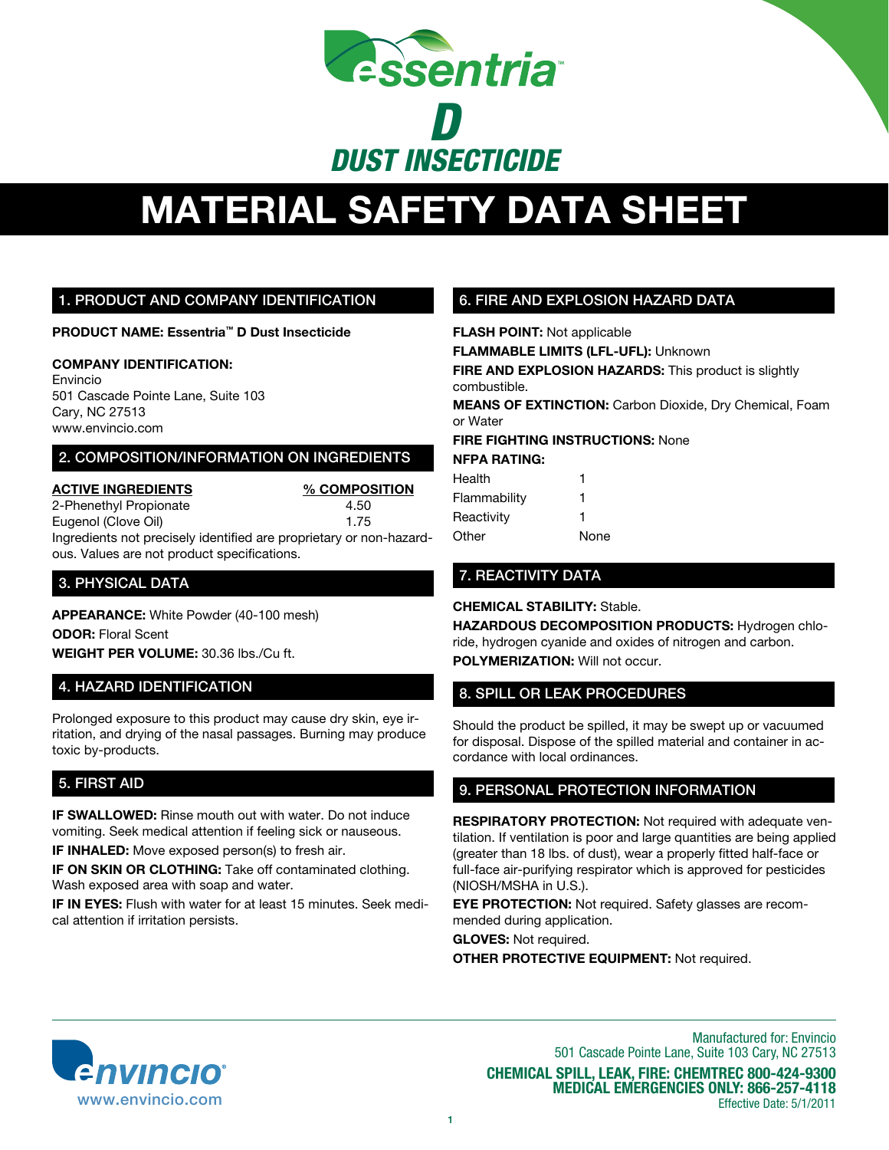

# **MATERIAL SAFETY DATA SHEET**

### 1. Product And Company Identification

**Product Name: Essentria™ D Dust Insecticide**

### **Company Identification:**

Envincio 501 Cascade Pointe Lane, Suite 103 Cary, NC 27513 www.envincio.com

### 2. Composition/information on ingredients

**Active Ingredients % Composition** 2-Phenethyl Propionate 4.50

Eugenol (Clove Oil) 1.75

Ingredients not precisely identified are proprietary or non-hazardous. Values are not product specifications.

### 3. PHYSICAL DATA

**Appearance:** White Powder (40-100 mesh) **ODOR: Floral Scent Weight per volume:** 30.36 lbs./Cu ft.

## 4. hazard identification

Prolonged exposure to this product may cause dry skin, eye irritation, and drying of the nasal passages. Burning may produce toxic by-products.

# 5. First Aid

**IF SWALLOWED:** Rinse mouth out with water. Do not induce vomiting. Seek medical attention if feeling sick or nauseous. **IF INHALED:** Move exposed person(s) to fresh air.

**IF ON SKIN OR CLOTHING:** Take off contaminated clothing. Wash exposed area with soap and water.

**IF IN EYES:** Flush with water for at least 15 minutes. Seek medical attention if irritation persists.

# 6. FIRE AND EXPLOSION HAZARD DATA

**Flash point:** Not applicable

**FLAMMABLE LIMITS (LFL-UFL):** Unknown

**FIRE AND EXPLOSION HAZARDS:** This product is slightly combustible.

**MEANS OF EXTINCTION:** Carbon Dioxide, Dry Chemical, Foam or Water

**FIRE FIGHTING INSTRUCTIONS:** None **NFPA Rating:**

| Health       | 1    |
|--------------|------|
| Flammability | 1    |
| Reactivity   | 1    |
| Other        | None |

## 7. REACTIVITY DATA

### **CHEMICAL STABILITY:** Stable.

**HAZARDOUS DECOMPOSITION PRODUCTS:** Hydrogen chloride, hydrogen cyanide and oxides of nitrogen and carbon. **POLYMERIZATION:** Will not occur.

## 8. SPILL OR LEAK PROCEDURES

Should the product be spilled, it may be swept up or vacuumed for disposal. Dispose of the spilled material and container in accordance with local ordinances.

## 9. PersonAL PROTECTION INFORMATION

**RESPIRATORY PROTECTION:** Not required with adequate ventilation. If ventilation is poor and large quantities are being applied (greater than 18 lbs. of dust), wear a properly fitted half-face or full-face air-purifying respirator which is approved for pesticides (NIOSH/MSHA in U.S.).

**EYE PROTECTION:** Not required. Safety glasses are recommended during application.

**Gloves:** Not required.

**Other Protective Equipment:** Not required.



Manufactured for: Envincio 501 Cascade Pointe Lane, Suite 103 Cary, NC 27513 **Chemical spill, leak, fire: Chemtrec 800-424-9300 medical Emergencies only: 866-257-4118**